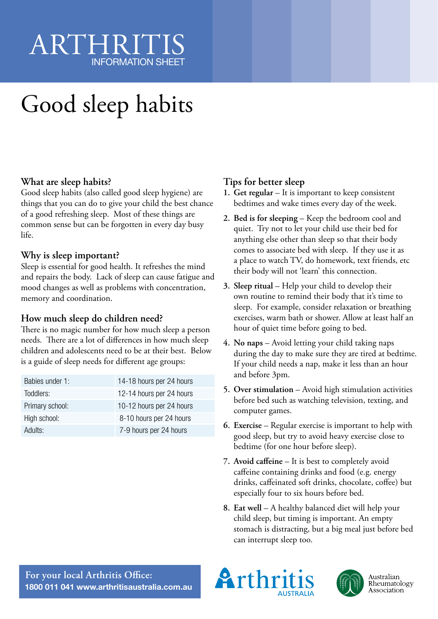## ARTHRIT INFORMATION SHEET

# Good sleep habits

#### **What are sleep habits?**

Good sleep habits (also called good sleep hygiene) are things that you can do to give your child the best chance of a good refreshing sleep. Most of these things are common sense but can be forgotten in every day busy life.

#### **Why is sleep important?**

Sleep is essential for good health. It refreshes the mind and repairs the body. Lack of sleep can cause fatigue and mood changes as well as problems with concentration, memory and coordination.

#### **How much sleep do children need?**

There is no magic number for how much sleep a person needs. There are a lot of differences in how much sleep children and adolescents need to be at their best. Below is a guide of sleep needs for different age groups:

| 14-18 hours per 24 hours |
|--------------------------|
| 12-14 hours per 24 hours |
| 10-12 hours per 24 hours |
| 8-10 hours per 24 hours  |
| 7-9 hours per 24 hours   |
|                          |

#### **Tips for better sleep**

- **1. Get regular** It is important to keep consistent bedtimes and wake times every day of the week.
- **2. Bed is for sleeping**  Keep the bedroom cool and quiet. Try not to let your child use their bed for anything else other than sleep so that their body comes to associate bed with sleep. If they use it as a place to watch TV, do homework, text friends, etc their body will not 'learn' this connection.
- **3. Sleep ritual**  Help your child to develop their own routine to remind their body that it's time to sleep. For example, consider relaxation or breathing exercises, warm bath or shower. Allow at least half an hour of quiet time before going to bed.
- **4. No naps**  Avoid letting your child taking naps during the day to make sure they are tired at bedtime. If your child needs a nap, make it less than an hour and before 3pm.
- **5. Over stimulation**  Avoid high stimulation activities before bed such as watching television, texting, and computer games.
- **6. Exercise**  Regular exercise is important to help with good sleep, but try to avoid heavy exercise close to bedtime (for one hour before sleep).
- **7. Avoid caffeine**  It is best to completely avoid caffeine containing drinks and food (e.g. energy drinks, caffeinated soft drinks, chocolate, coffee) but especially four to six hours before bed.
- **8. Eat well**  A healthy balanced diet will help your child sleep, but timing is important. An empty stomach is distracting, but a big meal just before bed can interrupt sleep too.